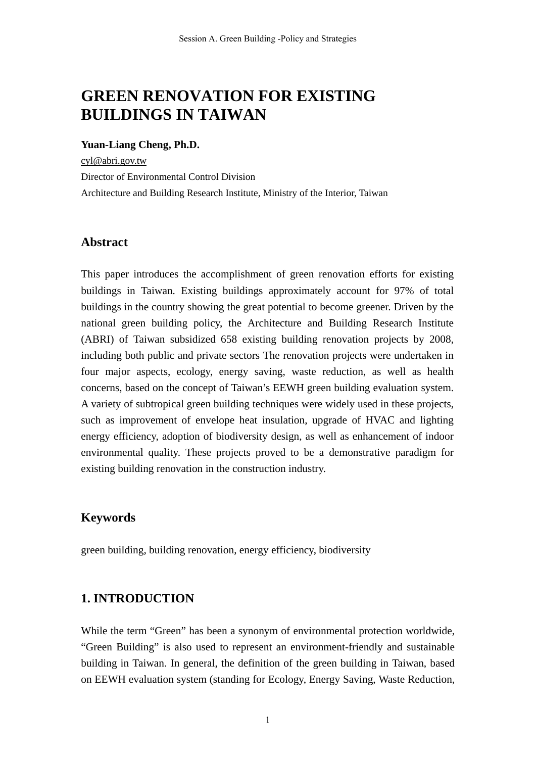# **GREEN RENOVATION FOR EXISTING BUILDINGS IN TAIWAN**

#### **Yuan-Liang Cheng, Ph.D.**

cyl@abri.gov.tw Director of Environmental Control Division Architecture and Building Research Institute, Ministry of the Interior, Taiwan

# **Abstract**

This paper introduces the accomplishment of green renovation efforts for existing buildings in Taiwan. Existing buildings approximately account for 97% of total buildings in the country showing the great potential to become greener. Driven by the national green building policy, the Architecture and Building Research Institute (ABRI) of Taiwan subsidized 658 existing building renovation projects by 2008, including both public and private sectors The renovation projects were undertaken in four major aspects, ecology, energy saving, waste reduction, as well as health concerns, based on the concept of Taiwan's EEWH green building evaluation system. A variety of subtropical green building techniques were widely used in these projects, such as improvement of envelope heat insulation, upgrade of HVAC and lighting energy efficiency, adoption of biodiversity design, as well as enhancement of indoor environmental quality. These projects proved to be a demonstrative paradigm for existing building renovation in the construction industry.

# **Keywords**

green building, building renovation, energy efficiency, biodiversity

# **1. INTRODUCTION**

While the term "Green" has been a synonym of environmental protection worldwide, "Green Building" is also used to represent an environment-friendly and sustainable building in Taiwan. In general, the definition of the green building in Taiwan, based on EEWH evaluation system (standing for Ecology, Energy Saving, Waste Reduction,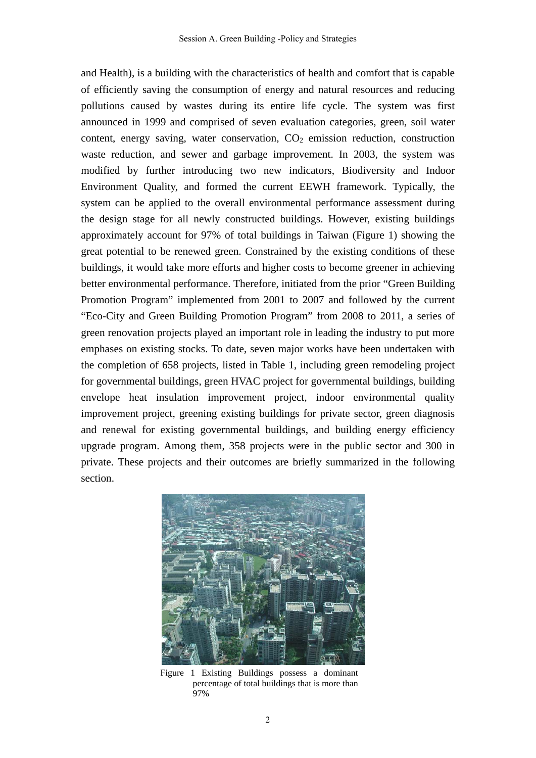and Health), is a building with the characteristics of health and comfort that is capable of efficiently saving the consumption of energy and natural resources and reducing pollutions caused by wastes during its entire life cycle. The system was first announced in 1999 and comprised of seven evaluation categories, green, soil water content, energy saving, water conservation,  $CO<sub>2</sub>$  emission reduction, construction waste reduction, and sewer and garbage improvement. In 2003, the system was modified by further introducing two new indicators, Biodiversity and Indoor Environment Quality, and formed the current EEWH framework. Typically, the system can be applied to the overall environmental performance assessment during the design stage for all newly constructed buildings. However, existing buildings approximately account for 97% of total buildings in Taiwan (Figure 1) showing the great potential to be renewed green. Constrained by the existing conditions of these buildings, it would take more efforts and higher costs to become greener in achieving better environmental performance. Therefore, initiated from the prior "Green Building Promotion Program" implemented from 2001 to 2007 and followed by the current "Eco-City and Green Building Promotion Program" from 2008 to 2011, a series of green renovation projects played an important role in leading the industry to put more emphases on existing stocks. To date, seven major works have been undertaken with the completion of 658 projects, listed in Table 1, including green remodeling project for governmental buildings, green HVAC project for governmental buildings, building envelope heat insulation improvement project, indoor environmental quality improvement project, greening existing buildings for private sector, green diagnosis and renewal for existing governmental buildings, and building energy efficiency upgrade program. Among them, 358 projects were in the public sector and 300 in private. These projects and their outcomes are briefly summarized in the following section.



Figure 1 Existing Buildings possess a dominant percentage of total buildings that is more than 97%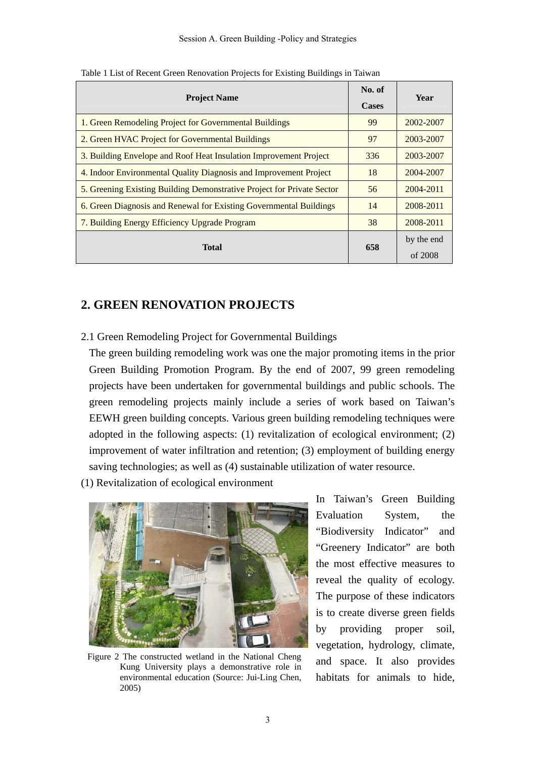| <b>Project Name</b>                                                    |     | Year       |
|------------------------------------------------------------------------|-----|------------|
| 1. Green Remodeling Project for Governmental Buildings                 | 99  | 2002-2007  |
| 2. Green HVAC Project for Governmental Buildings                       | 97  | 2003-2007  |
| 3. Building Envelope and Roof Heat Insulation Improvement Project      | 336 | 2003-2007  |
| 4. Indoor Environmental Quality Diagnosis and Improvement Project      | 18  | 2004-2007  |
| 5. Greening Existing Building Demonstrative Project for Private Sector | 56  | 2004-2011  |
| 6. Green Diagnosis and Renewal for Existing Governmental Buildings     | 14  | 2008-2011  |
| 7. Building Energy Efficiency Upgrade Program                          | 38  | 2008-2011  |
| <b>Total</b>                                                           | 658 | by the end |
|                                                                        |     | of 2008    |

Table 1 List of Recent Green Renovation Projects for Existing Buildings in Taiwan

# **2. GREEN RENOVATION PROJECTS**

#### 2.1 Green Remodeling Project for Governmental Buildings

The green building remodeling work was one the major promoting items in the prior Green Building Promotion Program. By the end of 2007, 99 green remodeling projects have been undertaken for governmental buildings and public schools. The green remodeling projects mainly include a series of work based on Taiwan's EEWH green building concepts. Various green building remodeling techniques were adopted in the following aspects: (1) revitalization of ecological environment; (2) improvement of water infiltration and retention; (3) employment of building energy saving technologies; as well as (4) sustainable utilization of water resource.

(1) Revitalization of ecological environment



Figure 2 The constructed wetland in the National Cheng Kung University plays a demonstrative role in environmental education (Source: Jui-Ling Chen, 2005)

In Taiwan's Green Building Evaluation System, the "Biodiversity Indicator" and "Greenery Indicator" are both the most effective measures to reveal the quality of ecology. The purpose of these indicators is to create diverse green fields by providing proper soil, vegetation, hydrology, climate, and space. It also provides habitats for animals to hide,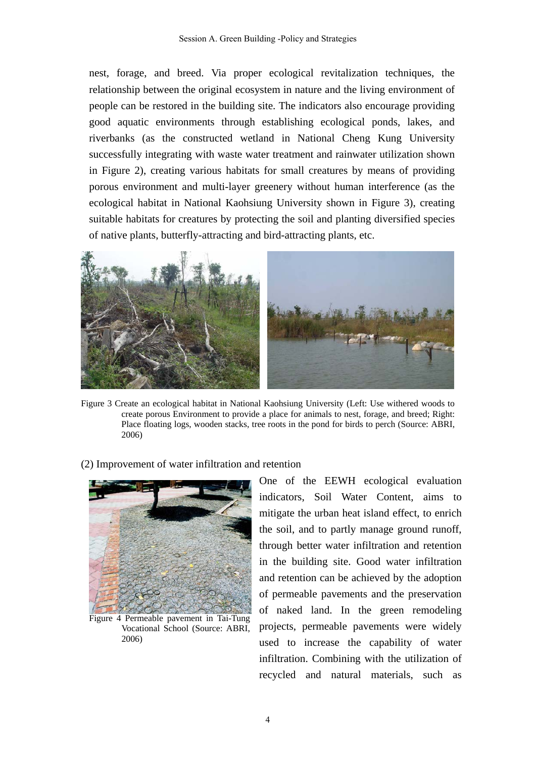nest, forage, and breed. Via proper ecological revitalization techniques, the relationship between the original ecosystem in nature and the living environment of people can be restored in the building site. The indicators also encourage providing good aquatic environments through establishing ecological ponds, lakes, and riverbanks (as the constructed wetland in National Cheng Kung University successfully integrating with waste water treatment and rainwater utilization shown in Figure 2), creating various habitats for small creatures by means of providing porous environment and multi-layer greenery without human interference (as the ecological habitat in National Kaohsiung University shown in Figure 3), creating suitable habitats for creatures by protecting the soil and planting diversified species of native plants, butterfly-attracting and bird-attracting plants, etc.



Figure 3 Create an ecological habitat in National Kaohsiung University (Left: Use withered woods to create porous Environment to provide a place for animals to nest, forage, and breed; Right: Place floating logs, wooden stacks, tree roots in the pond for birds to perch (Source: ABRI, 2006)

(2) Improvement of water infiltration and retention



Figure 4 Permeable pavement in Tai-Tung Vocational School (Source: ABRI, 2006)

One of the EEWH ecological evaluation indicators, Soil Water Content, aims to mitigate the urban heat island effect, to enrich the soil, and to partly manage ground runoff, through better water infiltration and retention in the building site. Good water infiltration and retention can be achieved by the adoption of permeable pavements and the preservation of naked land. In the green remodeling projects, permeable pavements were widely used to increase the capability of water infiltration. Combining with the utilization of recycled and natural materials, such as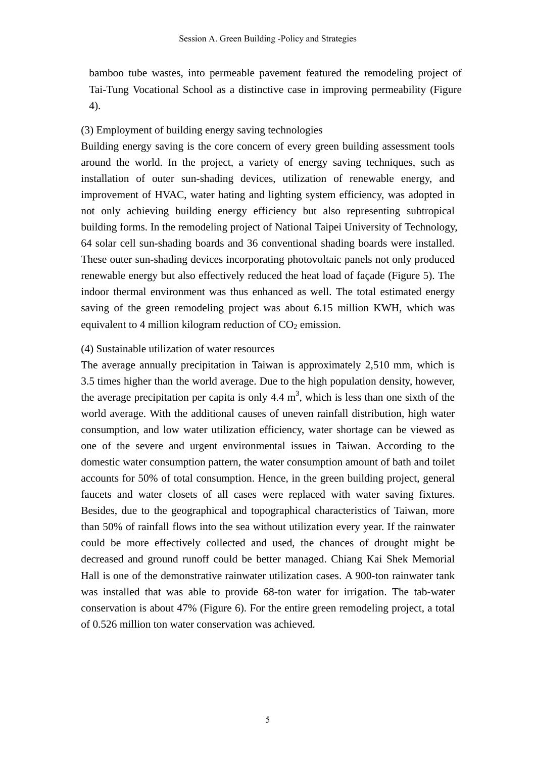bamboo tube wastes, into permeable pavement featured the remodeling project of Tai-Tung Vocational School as a distinctive case in improving permeability (Figure 4).

#### (3) Employment of building energy saving technologies

Building energy saving is the core concern of every green building assessment tools around the world. In the project, a variety of energy saving techniques, such as installation of outer sun-shading devices, utilization of renewable energy, and improvement of HVAC, water hating and lighting system efficiency, was adopted in not only achieving building energy efficiency but also representing subtropical building forms. In the remodeling project of National Taipei University of Technology, 64 solar cell sun-shading boards and 36 conventional shading boards were installed. These outer sun-shading devices incorporating photovoltaic panels not only produced renewable energy but also effectively reduced the heat load of façade (Figure 5). The indoor thermal environment was thus enhanced as well. The total estimated energy saving of the green remodeling project was about 6.15 million KWH, which was equivalent to 4 million kilogram reduction of  $CO<sub>2</sub>$  emission.

#### (4) Sustainable utilization of water resources

The average annually precipitation in Taiwan is approximately 2,510 mm, which is 3.5 times higher than the world average. Due to the high population density, however, the average precipitation per capita is only 4.4  $m<sup>3</sup>$ , which is less than one sixth of the world average. With the additional causes of uneven rainfall distribution, high water consumption, and low water utilization efficiency, water shortage can be viewed as one of the severe and urgent environmental issues in Taiwan. According to the domestic water consumption pattern, the water consumption amount of bath and toilet accounts for 50% of total consumption. Hence, in the green building project, general faucets and water closets of all cases were replaced with water saving fixtures. Besides, due to the geographical and topographical characteristics of Taiwan, more than 50% of rainfall flows into the sea without utilization every year. If the rainwater could be more effectively collected and used, the chances of drought might be decreased and ground runoff could be better managed. Chiang Kai Shek Memorial Hall is one of the demonstrative rainwater utilization cases. A 900-ton rainwater tank was installed that was able to provide 68-ton water for irrigation. The tab-water conservation is about 47% (Figure 6). For the entire green remodeling project, a total of 0.526 million ton water conservation was achieved.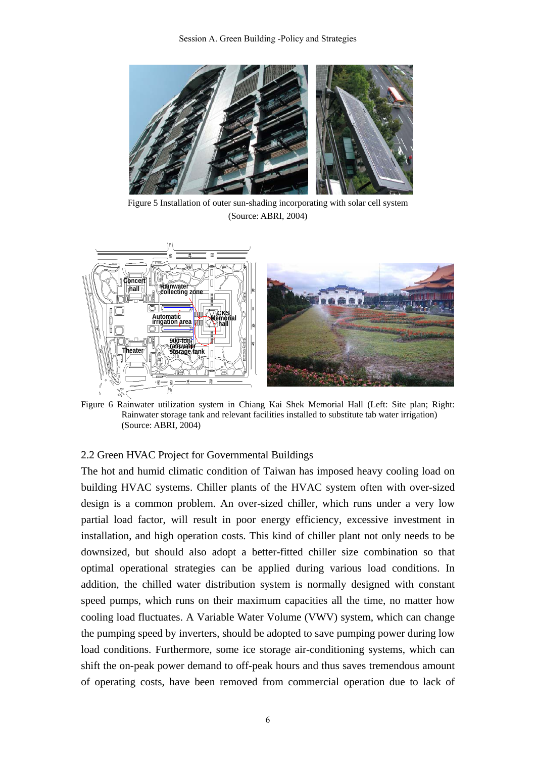

Figure 5 Installation of outer sun-shading incorporating with solar cell system (Source: ABRI, 2004)



Figure 6 Rainwater utilization system in Chiang Kai Shek Memorial Hall (Left: Site plan; Right: Rainwater storage tank and relevant facilities installed to substitute tab water irrigation) (Source: ABRI, 2004)

#### 2.2 Green HVAC Project for Governmental Buildings

The hot and humid climatic condition of Taiwan has imposed heavy cooling load on building HVAC systems. Chiller plants of the HVAC system often with over-sized design is a common problem. An over-sized chiller, which runs under a very low partial load factor, will result in poor energy efficiency, excessive investment in installation, and high operation costs. This kind of chiller plant not only needs to be downsized, but should also adopt a better-fitted chiller size combination so that optimal operational strategies can be applied during various load conditions. In addition, the chilled water distribution system is normally designed with constant speed pumps, which runs on their maximum capacities all the time, no matter how cooling load fluctuates. A Variable Water Volume (VWV) system, which can change the pumping speed by inverters, should be adopted to save pumping power during low load conditions. Furthermore, some ice storage air-conditioning systems, which can shift the on-peak power demand to off-peak hours and thus saves tremendous amount of operating costs, have been removed from commercial operation due to lack of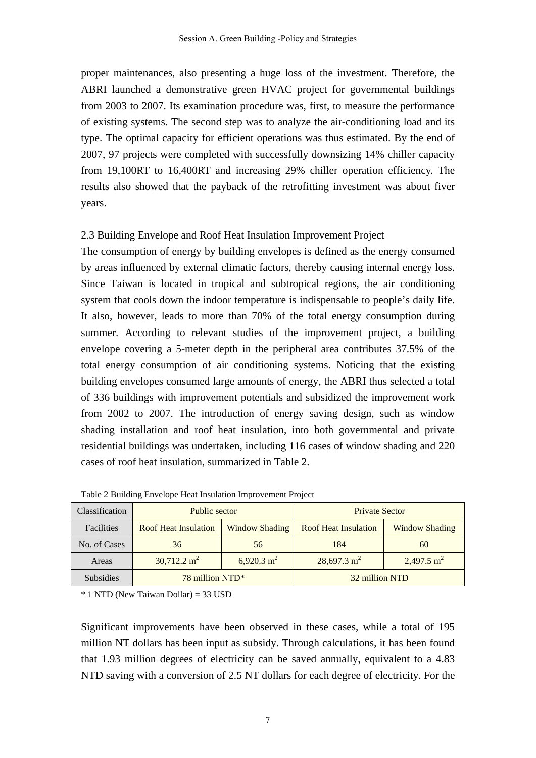proper maintenances, also presenting a huge loss of the investment. Therefore, the ABRI launched a demonstrative green HVAC project for governmental buildings from 2003 to 2007. Its examination procedure was, first, to measure the performance of existing systems. The second step was to analyze the air-conditioning load and its type. The optimal capacity for efficient operations was thus estimated. By the end of 2007, 97 projects were completed with successfully downsizing 14% chiller capacity from 19,100RT to 16,400RT and increasing 29% chiller operation efficiency. The results also showed that the payback of the retrofitting investment was about fiver years.

#### 2.3 Building Envelope and Roof Heat Insulation Improvement Project

The consumption of energy by building envelopes is defined as the energy consumed by areas influenced by external climatic factors, thereby causing internal energy loss. Since Taiwan is located in tropical and subtropical regions, the air conditioning system that cools down the indoor temperature is indispensable to people's daily life. It also, however, leads to more than 70% of the total energy consumption during summer. According to relevant studies of the improvement project, a building envelope covering a 5-meter depth in the peripheral area contributes 37.5% of the total energy consumption of air conditioning systems. Noticing that the existing building envelopes consumed large amounts of energy, the ABRI thus selected a total of 336 buildings with improvement potentials and subsidized the improvement work from 2002 to 2007. The introduction of energy saving design, such as window shading installation and roof heat insulation, into both governmental and private residential buildings was undertaken, including 116 cases of window shading and 220 cases of roof heat insulation, summarized in Table 2.

| Classification   | Public sector               |                       | <b>Private Sector</b>       |                       |
|------------------|-----------------------------|-----------------------|-----------------------------|-----------------------|
| Facilities       | <b>Roof Heat Insulation</b> | <b>Window Shading</b> | <b>Roof Heat Insulation</b> | <b>Window Shading</b> |
| No. of Cases     | 36                          | 56                    | 184                         | 60                    |
| Areas            | $30,712.2 \text{ m}^2$      | 6,920.3 $m^2$         | $28,697.3 \text{ m}^2$      | 2,497.5 $m^2$         |
| <b>Subsidies</b> | 78 million NTD*             |                       | 32 million NTD              |                       |

Table 2 Building Envelope Heat Insulation Improvement Project

\* 1 NTD (New Taiwan Dollar) = 33 USD

Significant improvements have been observed in these cases, while a total of 195 million NT dollars has been input as subsidy. Through calculations, it has been found that 1.93 million degrees of electricity can be saved annually, equivalent to a 4.83 NTD saving with a conversion of 2.5 NT dollars for each degree of electricity. For the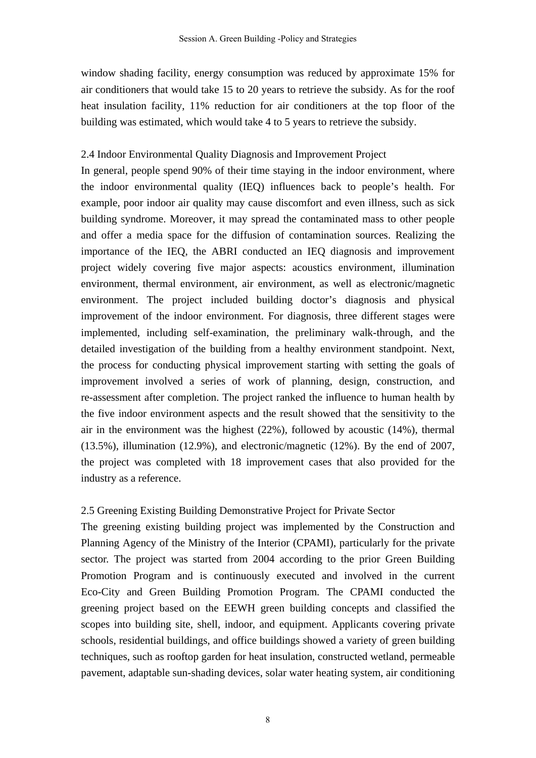window shading facility, energy consumption was reduced by approximate 15% for air conditioners that would take 15 to 20 years to retrieve the subsidy. As for the roof heat insulation facility, 11% reduction for air conditioners at the top floor of the building was estimated, which would take 4 to 5 years to retrieve the subsidy.

#### 2.4 Indoor Environmental Quality Diagnosis and Improvement Project

In general, people spend 90% of their time staying in the indoor environment, where the indoor environmental quality (IEQ) influences back to people's health. For example, poor indoor air quality may cause discomfort and even illness, such as sick building syndrome. Moreover, it may spread the contaminated mass to other people and offer a media space for the diffusion of contamination sources. Realizing the importance of the IEQ, the ABRI conducted an IEQ diagnosis and improvement project widely covering five major aspects: acoustics environment, illumination environment, thermal environment, air environment, as well as electronic/magnetic environment. The project included building doctor's diagnosis and physical improvement of the indoor environment. For diagnosis, three different stages were implemented, including self-examination, the preliminary walk-through, and the detailed investigation of the building from a healthy environment standpoint. Next, the process for conducting physical improvement starting with setting the goals of improvement involved a series of work of planning, design, construction, and re-assessment after completion. The project ranked the influence to human health by the five indoor environment aspects and the result showed that the sensitivity to the air in the environment was the highest (22%), followed by acoustic (14%), thermal (13.5%), illumination (12.9%), and electronic/magnetic (12%). By the end of 2007, the project was completed with 18 improvement cases that also provided for the industry as a reference.

# 2.5 Greening Existing Building Demonstrative Project for Private Sector

The greening existing building project was implemented by the Construction and Planning Agency of the Ministry of the Interior (CPAMI), particularly for the private sector. The project was started from 2004 according to the prior Green Building Promotion Program and is continuously executed and involved in the current Eco-City and Green Building Promotion Program. The CPAMI conducted the greening project based on the EEWH green building concepts and classified the scopes into building site, shell, indoor, and equipment. Applicants covering private schools, residential buildings, and office buildings showed a variety of green building techniques, such as rooftop garden for heat insulation, constructed wetland, permeable pavement, adaptable sun-shading devices, solar water heating system, air conditioning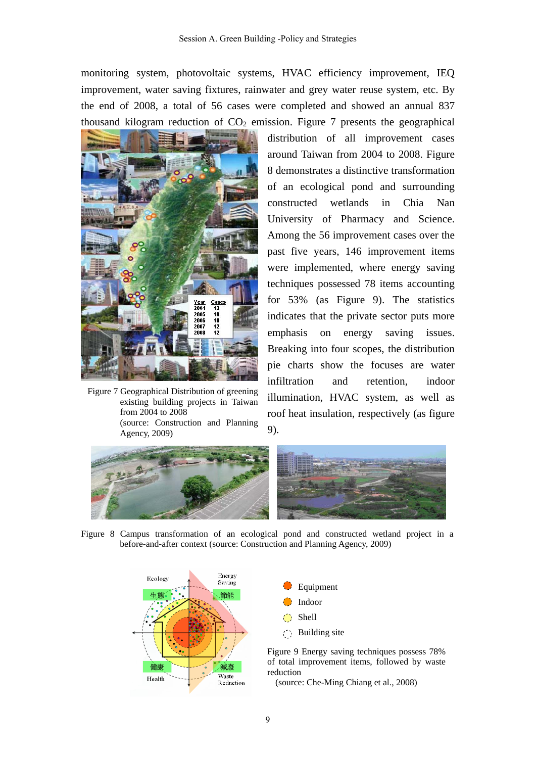monitoring system, photovoltaic systems, HVAC efficiency improvement, IEQ improvement, water saving fixtures, rainwater and grey water reuse system, etc. By the end of 2008, a total of 56 cases were completed and showed an annual 837 thousand kilogram reduction of  $CO<sub>2</sub>$  emission. Figure 7 presents the geographical



Figure 7 Geographical Distribution of greening existing building projects in Taiwan from 2004 to 2008 (source: Construction and Planning Agency, 2009)

distribution of all improvement cases around Taiwan from 2004 to 2008. Figure 8 demonstrates a distinctive transformation of an ecological pond and surrounding constructed wetlands in Chia Nan University of Pharmacy and Science. Among the 56 improvement cases over the past five years, 146 improvement items were implemented, where energy saving techniques possessed 78 items accounting for 53% (as Figure 9). The statistics indicates that the private sector puts more emphasis on energy saving issues. Breaking into four scopes, the distribution pie charts show the focuses are water infiltration and retention, indoor illumination, HVAC system, as well as roof heat insulation, respectively (as figure 9).



Figure 8 Campus transformation of an ecological pond and constructed wetland project in a before-and-after context (source: Construction and Planning Agency, 2009)



Equipment Building site

Figure 9 Energy saving techniques possess 78% of total improvement items, followed by waste

(source: Che-Ming Chiang et al., 2008)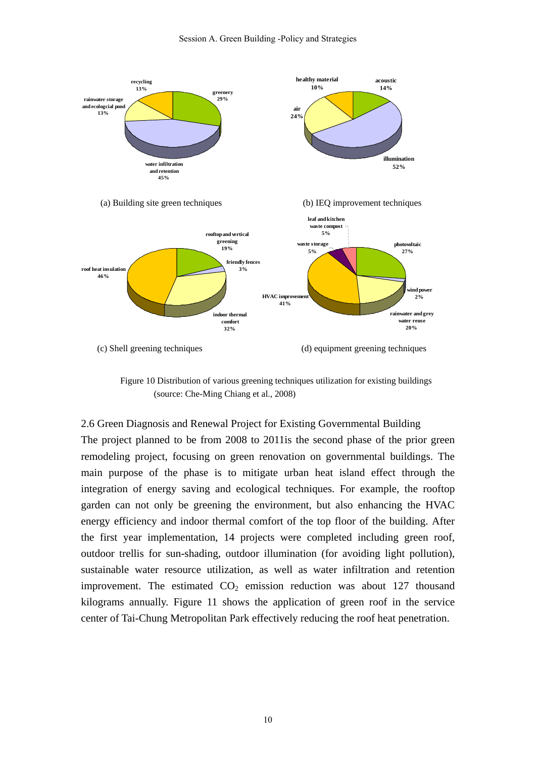

Figure 10 Distribution of various greening techniques utilization for existing buildings (source: Che-Ming Chiang et al., 2008)

2.6 Green Diagnosis and Renewal Project for Existing Governmental Building The project planned to be from 2008 to 2011is the second phase of the prior green remodeling project, focusing on green renovation on governmental buildings. The main purpose of the phase is to mitigate urban heat island effect through the integration of energy saving and ecological techniques. For example, the rooftop garden can not only be greening the environment, but also enhancing the HVAC energy efficiency and indoor thermal comfort of the top floor of the building. After the first year implementation, 14 projects were completed including green roof, outdoor trellis for sun-shading, outdoor illumination (for avoiding light pollution), sustainable water resource utilization, as well as water infiltration and retention improvement. The estimated  $CO<sub>2</sub>$  emission reduction was about 127 thousand kilograms annually. Figure 11 shows the application of green roof in the service center of Tai-Chung Metropolitan Park effectively reducing the roof heat penetration.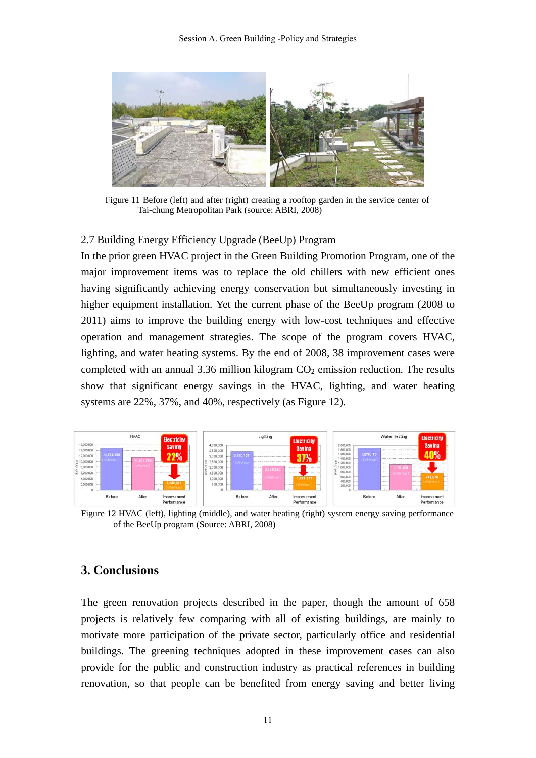

Figure 11 Before (left) and after (right) creating a rooftop garden in the service center of Tai-chung Metropolitan Park (source: ABRI, 2008)

#### 2.7 Building Energy Efficiency Upgrade (BeeUp) Program

In the prior green HVAC project in the Green Building Promotion Program, one of the major improvement items was to replace the old chillers with new efficient ones having significantly achieving energy conservation but simultaneously investing in higher equipment installation. Yet the current phase of the BeeUp program (2008 to 2011) aims to improve the building energy with low-cost techniques and effective operation and management strategies. The scope of the program covers HVAC, lighting, and water heating systems. By the end of 2008, 38 improvement cases were completed with an annual 3.36 million kilogram  $CO<sub>2</sub>$  emission reduction. The results show that significant energy savings in the HVAC, lighting, and water heating systems are 22%, 37%, and 40%, respectively (as Figure 12).



Figure 12 HVAC (left), lighting (middle), and water heating (right) system energy saving performance of the BeeUp program (Source: ABRI, 2008)

# **3. Conclusions**

The green renovation projects described in the paper, though the amount of 658 projects is relatively few comparing with all of existing buildings, are mainly to motivate more participation of the private sector, particularly office and residential buildings. The greening techniques adopted in these improvement cases can also provide for the public and construction industry as practical references in building renovation, so that people can be benefited from energy saving and better living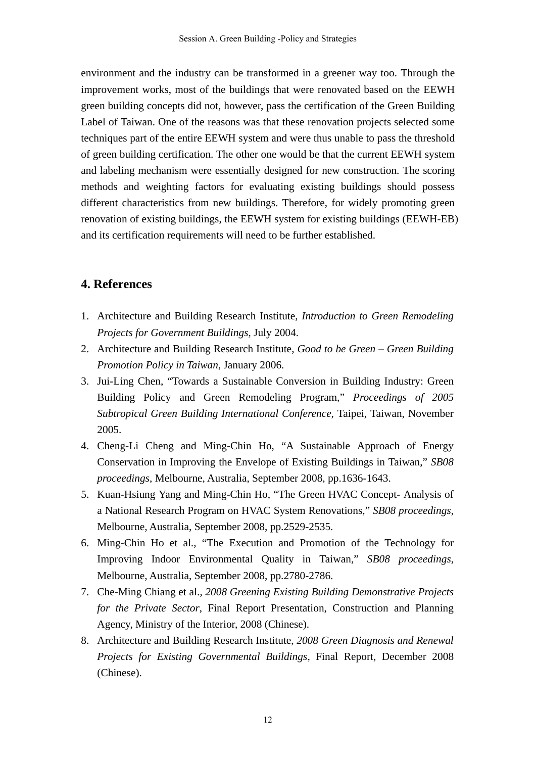environment and the industry can be transformed in a greener way too. Through the improvement works, most of the buildings that were renovated based on the EEWH green building concepts did not, however, pass the certification of the Green Building Label of Taiwan. One of the reasons was that these renovation projects selected some techniques part of the entire EEWH system and were thus unable to pass the threshold of green building certification. The other one would be that the current EEWH system and labeling mechanism were essentially designed for new construction. The scoring methods and weighting factors for evaluating existing buildings should possess different characteristics from new buildings. Therefore, for widely promoting green renovation of existing buildings, the EEWH system for existing buildings (EEWH-EB) and its certification requirements will need to be further established.

# **4. References**

- 1. Architecture and Building Research Institute, *Introduction to Green Remodeling Projects for Government Buildings*, July 2004.
- 2. Architecture and Building Research Institute, *Good to be Green Green Building Promotion Policy in Taiwan*, January 2006.
- 3. Jui-Ling Chen, "Towards a Sustainable Conversion in Building Industry: Green Building Policy and Green Remodeling Program," *Proceedings of 2005 Subtropical Green Building International Conference*, Taipei, Taiwan, November 2005.
- 4. Cheng-Li Cheng and Ming-Chin Ho, "A Sustainable Approach of Energy Conservation in Improving the Envelope of Existing Buildings in Taiwan," *SB08 proceedings*, Melbourne, Australia, September 2008, pp.1636-1643.
- 5. Kuan-Hsiung Yang and Ming-Chin Ho, "The Green HVAC Concept- Analysis of a National Research Program on HVAC System Renovations," *SB08 proceedings*, Melbourne, Australia, September 2008, pp.2529-2535.
- 6. Ming-Chin Ho et al., "The Execution and Promotion of the Technology for Improving Indoor Environmental Quality in Taiwan," *SB08 proceedings*, Melbourne, Australia, September 2008, pp.2780-2786.
- 7. Che-Ming Chiang et al., *2008 Greening Existing Building Demonstrative Projects for the Private Sector*, Final Report Presentation, Construction and Planning Agency, Ministry of the Interior, 2008 (Chinese).
- 8. Architecture and Building Research Institute, *2008 Green Diagnosis and Renewal Projects for Existing Governmental Buildings*, Final Report, December 2008 (Chinese).